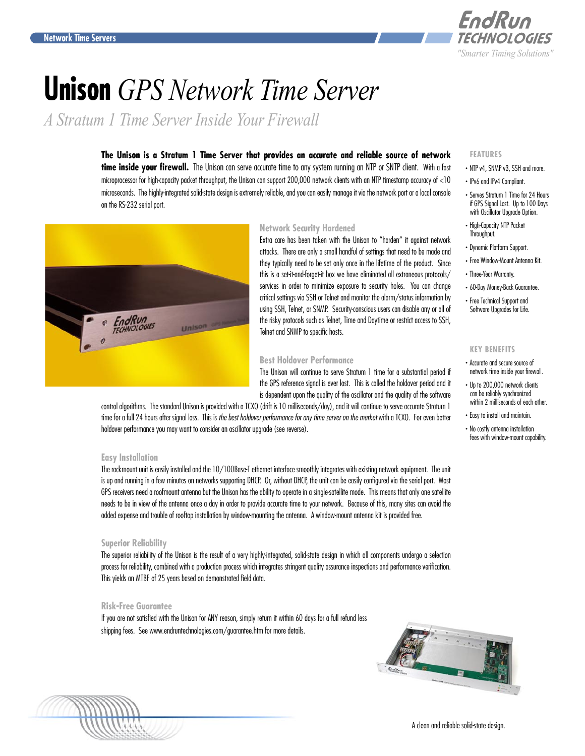

# **Unison** *GPS Network Time Server*

*A Stratum 1 Time Server Inside Your Firewall*

**The Unison is a Stratum 1 Time Server that provides an accurate and reliable source of network**  time inside your firewall. The Unison can serve accurate time to any system running an NTP or SNTP client. With a fast microprocessor for high-capacity packet throughput, the Unison can support 200,000 network clients with an NTP timestamp accuracy of <10 microseconds. The highly-integrated solid-state design is extremely reliable, and you can easily manage it via the network port or a local console on the RS-232 serial port.



# **Network Security Hardened**

Extra care has been taken with the Unison to "harden" it against network attacks. There are only a small handful of settings that need to be made and they typically need to be set only once in the lifetime of the product. Since this is a set-it-and-forget-it box we have eliminated all extraneous protocols/ services in order to minimize exposure to security holes. You can change critical settings via SSH or Telnet and monitor the alarm/status information by using SSH, Telnet, or SNMP. Security-conscious users can disable any or all of the risky protocols such as Telnet, Time and Daytime or restrict access to SSH, Telnet and SNMP to specific hosts.

# **Best Holdover Performance**

The Unison will continue to serve Stratum 1 time for a substantial period if the GPS reference signal is ever lost. This is called the holdover period and it is dependent upon the quality of the oscillator and the quality of the software

control algorithms. The standard Unison is provided with a TCXO (drift is 10 milliseconds/day), and it will continue to serve accurate Stratum 1 time for a full 24 hours after signal loss. This is *the best holdover performance for any time server on the market* with a TCXO. For even better holdover performance you may want to consider an oscillator upgrade (see reverse).

# **Easy Installation**

The rackmount unit is easily installed and the 10/100Base-T ethernet interface smoothly integrates with existing network equipment. The unit is up and running in a few minutes on networks supporting DHCP. Or, without DHCP, the unit can be easily configured via the serial port. Most GPS receivers need a roofmount antenna but the Unison has the ability to operate in a single-satellite mode. This means that only one satellite needs to be in view of the antenna once a day in order to provide accurate time to your network. Because of this, many sites can avoid the added expense and trouble of rooftop installation by window-mounting the antenna. A window-mount antenna kit is provided free.

# **Superior Reliability**

The superior reliability of the Unison is the result of a very highly-integrated, solid-state design in which all components undergo a selection process for reliability, combined with a production process which integrates stringent quality assurance inspections and performance verification. This yields an MTBF of 25 years based on demonstrated field data.

# **Risk-Free Guarantee**

If you are not satisfied with the Unison for ANY reason, simply return it within 60 days for a full refund less shipping fees. See <www.endruntechnologies.com/guarantee.htm>for more details.

# **FEATURES**

- . NTP v4, SNMP v3, SSH and more.
- . IPv6 and IPv4 Compliant.
- . Serves Stratum 1 Time for 24 Hours if GPS Signal Lost. Up to 100 Days with Oscillator Upgrade Option.
- . High-Capacity NTP Packet Throughput.
- . Dynamic Platform Support.
- . Free Window-Mount Antenna Kit.
- . Three-Year Warranty.
- . 60-Day Money-Back Guarantee.
- . Free Technical Support and Software Upgrades for Life.

# **KEY BENEFITS**

- . Accurate and secure source of network time inside your firewall.
- . Up to 200,000 network clients can be reliably synchronized within 2 milliseconds of each other.
- . Easy to install and maintain.
- . No costly antenna installation fees with window-mount capability.